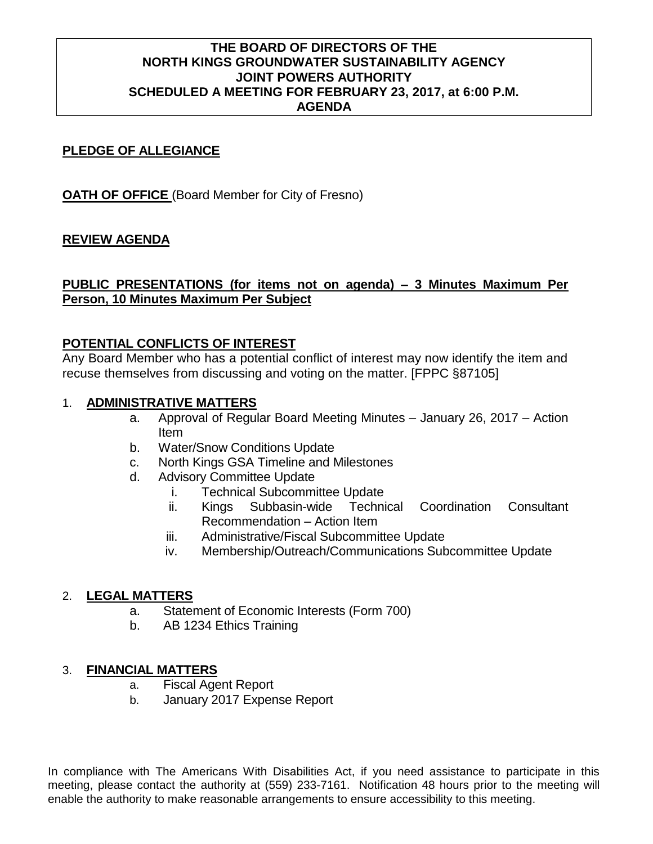## **THE BOARD OF DIRECTORS OF THE NORTH KINGS GROUNDWATER SUSTAINABILITY AGENCY JOINT POWERS AUTHORITY SCHEDULED A MEETING FOR FEBRUARY 23, 2017, at 6:00 P.M. AGENDA**

## **PLEDGE OF ALLEGIANCE**

**OATH OF OFFICE** (Board Member for City of Fresno)

## **REVIEW AGENDA**

# **PUBLIC PRESENTATIONS (for items not on agenda) – 3 Minutes Maximum Per Person, 10 Minutes Maximum Per Subject**

## **POTENTIAL CONFLICTS OF INTEREST**

Any Board Member who has a potential conflict of interest may now identify the item and recuse themselves from discussing and voting on the matter. [FPPC §87105]

#### 1. **ADMINISTRATIVE MATTERS**

- a. Approval of Regular Board Meeting Minutes January 26, 2017 Action Item
- b. Water/Snow Conditions Update
- c. North Kings GSA Timeline and Milestones
- d. Advisory Committee Update
	- i. Technical Subcommittee Update
	- ii. Kings Subbasin-wide Technical Coordination Consultant Recommendation – Action Item
	- iii. Administrative/Fiscal Subcommittee Update
	- iv. Membership/Outreach/Communications Subcommittee Update

## 2. **LEGAL MATTERS**

- a. Statement of Economic Interests (Form 700)
- b. AB 1234 Ethics Training

## 3. **FINANCIAL MATTERS**

- a. Fiscal Agent Report
- b. January 2017 Expense Report

In compliance with The Americans With Disabilities Act, if you need assistance to participate in this meeting, please contact the authority at (559) 233-7161. Notification 48 hours prior to the meeting will enable the authority to make reasonable arrangements to ensure accessibility to this meeting.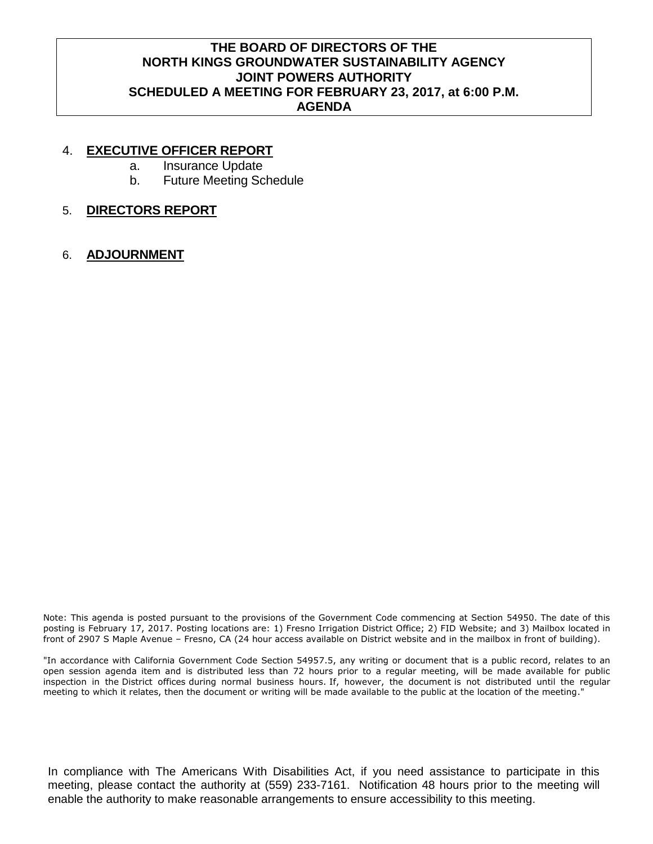# **THE BOARD OF DIRECTORS OF THE NORTH KINGS GROUNDWATER SUSTAINABILITY AGENCY JOINT POWERS AUTHORITY SCHEDULED A MEETING FOR FEBRUARY 23, 2017, at 6:00 P.M. AGENDA**

#### 4. **EXECUTIVE OFFICER REPORT**

- a. Insurance Update
- b. Future Meeting Schedule
- 5. **DIRECTORS REPORT**
- 6. **ADJOURNMENT**

Note: This agenda is posted pursuant to the provisions of the Government Code commencing at Section 54950. The date of this posting is February 17, 2017. Posting locations are: 1) Fresno Irrigation District Office; 2) FID Website; and 3) Mailbox located in front of 2907 S Maple Avenue – Fresno, CA (24 hour access available on District website and in the mailbox in front of building).

"In accordance with California Government Code Section 54957.5, any writing or document that is a public record, relates to an open session agenda item and is distributed less than 72 hours prior to a regular meeting, will be made available for public inspection in the District offices during normal business hours. If, however, the document is not distributed until the regular meeting to which it relates, then the document or writing will be made available to the public at the location of the meeting."

In compliance with The Americans With Disabilities Act, if you need assistance to participate in this meeting, please contact the authority at (559) 233-7161. Notification 48 hours prior to the meeting will enable the authority to make reasonable arrangements to ensure accessibility to this meeting.